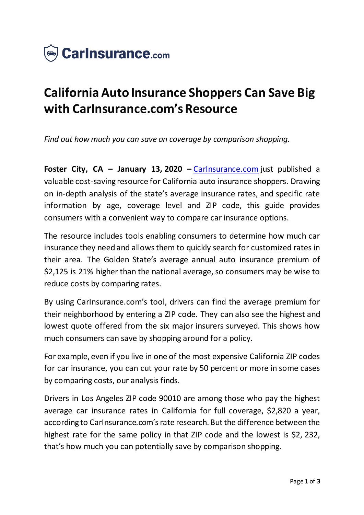

## **California Auto Insurance Shoppers Can Save Big with CarInsurance.com's Resource**

*Find out how much you can save on coverage by comparison shopping.*

**Foster City, CA – January 13, 2020 –** [CarInsurance.com](https://www.carinsurance.com/) just published a valuable cost-saving resource for California auto insurance shoppers. Drawing on in-depth analysis of the state's average insurance rates, and specific rate information by age, coverage level and ZIP code, this guide provides consumers with a convenient way to compare car insurance options.

The resource includes tools enabling consumers to determine how much car insurance they need and allows them to quickly search for customized rates in their area. The Golden State's average annual auto insurance premium of \$2,125 is 21% higher than the national average, so consumers may be wise to reduce costs by comparing rates.

By using CarInsurance.com's tool, drivers can find the average premium for their neighborhood by entering a ZIP code. They can also see the highest and lowest quote offered from the six major insurers surveyed. This shows how much consumers can save by shopping around for a policy.

For example, even if you live in one of the most expensive California ZIP codes for car insurance, you can cut your rate by 50 percent or more in some cases by comparing costs, our analysis finds.

Drivers in Los Angeles ZIP code 90010 are among those who pay the highest average car insurance rates in California for full coverage, \$2,820 a year, according to CarInsurance.com's rate research. But the difference between the highest rate for the same policy in that ZIP code and the lowest is \$2, 232, that's how much you can potentially save by comparison shopping.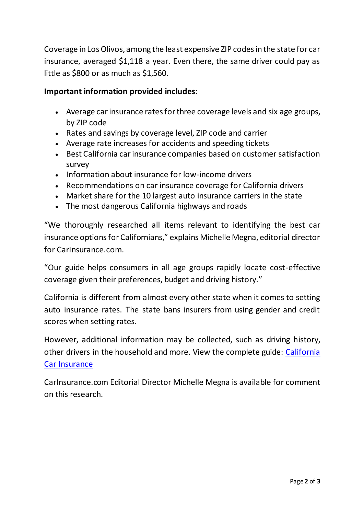Coverage in Los Olivos, among the least expensive ZIP codes in the state for car insurance, averaged \$1,118 a year. Even there, the same driver could pay as little as \$800 or as much as \$1,560.

## **Important information provided includes:**

- Average car insurance rates for three coverage levels and six age groups, by ZIP code
- Rates and savings by coverage level, ZIP code and carrier
- Average rate increases for accidents and speeding tickets
- Best California car insurance companies based on customer satisfaction survey
- Information about insurance for low-income drivers
- Recommendations on car insurance coverage for California drivers
- Market share for the 10 largest auto insurance carriers in the state
- The most dangerous California highways and roads

"We thoroughly researched all items relevant to identifying the best car insurance options for Californians," explains Michelle Megna, editorial director for CarInsurance.com.

"Our guide helps consumers in all age groups rapidly locate cost-effective coverage given their preferences, budget and driving history."

California is different from almost every other state when it comes to setting auto insurance rates. The state bans insurers from using gender and credit scores when setting rates.

However, additional information may be collected, such as driving history, other drivers in the household and more. View the complete guide: [California](https://www.carinsurance.com/state/California-car-insurance.aspx)  [Car Insurance](https://www.carinsurance.com/state/California-car-insurance.aspx)

CarInsurance.com Editorial Director Michelle Megna is available for comment on this research.